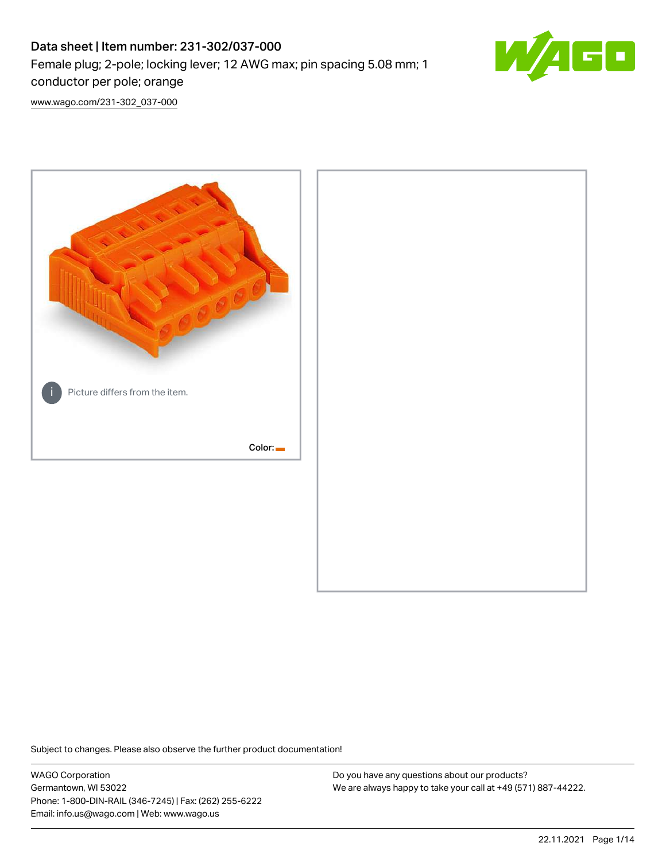# Data sheet | Item number: 231-302/037-000 Female plug; 2-pole; locking lever; 12 AWG max; pin spacing 5.08 mm; 1 conductor per pole; orange



[www.wago.com/231-302\\_037-000](http://www.wago.com/231-302_037-000)



Subject to changes. Please also observe the further product documentation!

WAGO Corporation Germantown, WI 53022 Phone: 1-800-DIN-RAIL (346-7245) | Fax: (262) 255-6222 Email: info.us@wago.com | Web: www.wago.us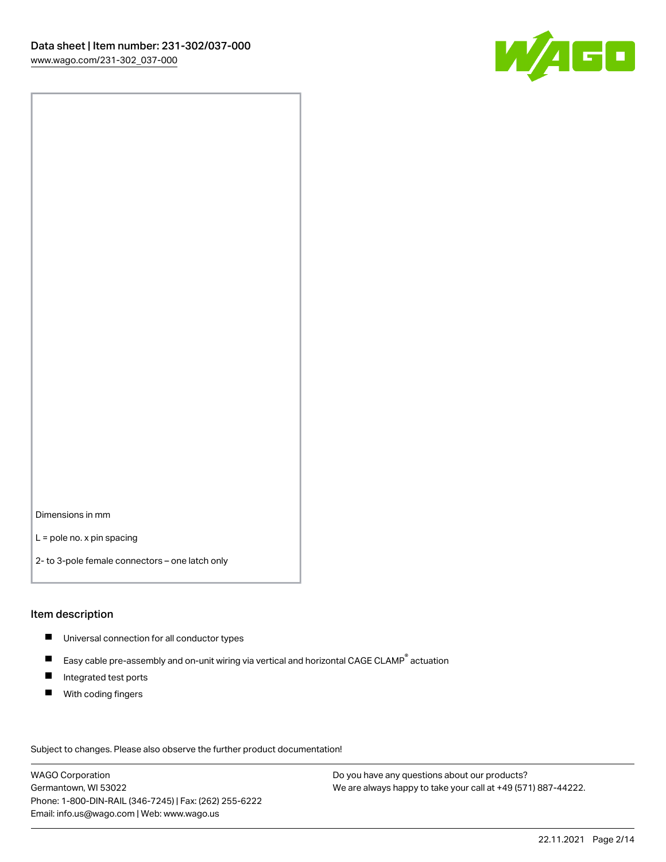

Dimensions in mm

L = pole no. x pin spacing

2- to 3-pole female connectors – one latch only

#### Item description

- **Universal connection for all conductor types**
- Easy cable pre-assembly and on-unit wiring via vertical and horizontal CAGE CLAMP<sup>®</sup> actuation  $\blacksquare$
- $\blacksquare$ Integrated test ports
- $\blacksquare$ With coding fingers

Subject to changes. Please also observe the further product documentation! Data

WAGO Corporation Germantown, WI 53022 Phone: 1-800-DIN-RAIL (346-7245) | Fax: (262) 255-6222 Email: info.us@wago.com | Web: www.wago.us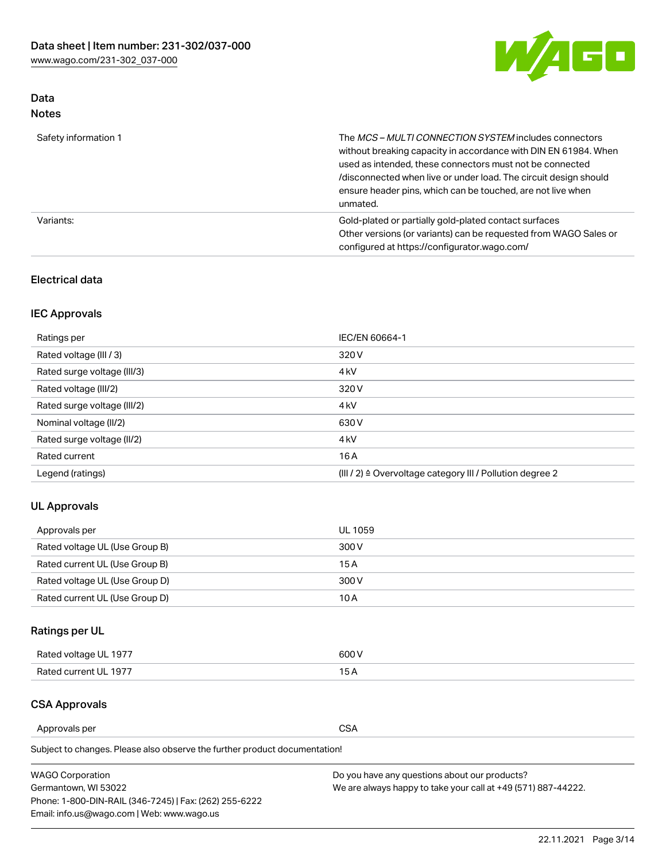

## Data Notes

| Safety information 1 | The MCS-MULTI CONNECTION SYSTEM includes connectors<br>without breaking capacity in accordance with DIN EN 61984. When<br>used as intended, these connectors must not be connected<br>/disconnected when live or under load. The circuit design should<br>ensure header pins, which can be touched, are not live when<br>unmated. |
|----------------------|-----------------------------------------------------------------------------------------------------------------------------------------------------------------------------------------------------------------------------------------------------------------------------------------------------------------------------------|
| Variants:            | Gold-plated or partially gold-plated contact surfaces<br>Other versions (or variants) can be requested from WAGO Sales or<br>configured at https://configurator.wago.com/                                                                                                                                                         |

#### Electrical data

## IEC Approvals

| Ratings per                 | IEC/EN 60664-1                                                        |
|-----------------------------|-----------------------------------------------------------------------|
| Rated voltage (III / 3)     | 320 V                                                                 |
| Rated surge voltage (III/3) | 4 <sub>k</sub> V                                                      |
| Rated voltage (III/2)       | 320 V                                                                 |
| Rated surge voltage (III/2) | 4 <sub>k</sub> V                                                      |
| Nominal voltage (II/2)      | 630 V                                                                 |
| Rated surge voltage (II/2)  | 4 <sub>k</sub> V                                                      |
| Rated current               | 16 A                                                                  |
| Legend (ratings)            | $(III / 2)$ $\triangle$ Overvoltage category III / Pollution degree 2 |

#### UL Approvals

| Approvals per                  | UL 1059 |
|--------------------------------|---------|
| Rated voltage UL (Use Group B) | 300 V   |
| Rated current UL (Use Group B) | 15 A    |
| Rated voltage UL (Use Group D) | 300 V   |
| Rated current UL (Use Group D) | 10 A    |

## Ratings per UL

| Rated voltage UL 1977 | 600 V         |
|-----------------------|---------------|
| Rated current UL 1977 | $\sim$ $\sim$ |

## CSA Approvals

Approvals per CSA

Subject to changes. Please also observe the further product documentation!

| <b>WAGO Corporation</b>                                | Do you have any questions about our products?                 |
|--------------------------------------------------------|---------------------------------------------------------------|
| Germantown, WI 53022                                   | We are always happy to take your call at +49 (571) 887-44222. |
| Phone: 1-800-DIN-RAIL (346-7245)   Fax: (262) 255-6222 |                                                               |
| Email: info.us@wago.com   Web: www.wago.us             |                                                               |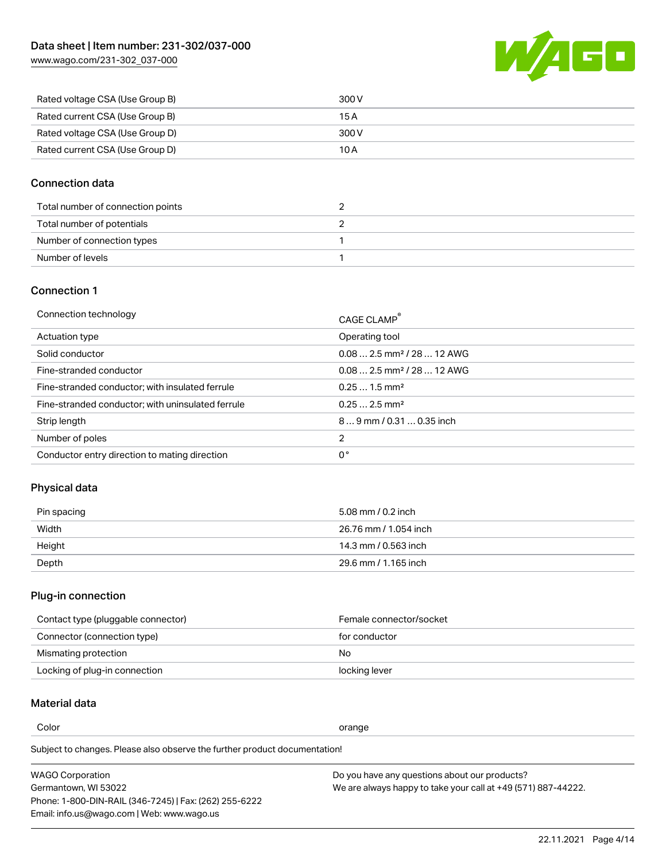[www.wago.com/231-302\\_037-000](http://www.wago.com/231-302_037-000)



| Rated voltage CSA (Use Group B) | 300 V |
|---------------------------------|-------|
| Rated current CSA (Use Group B) | 15 A  |
| Rated voltage CSA (Use Group D) | 300 V |
| Rated current CSA (Use Group D) | 10 A  |

#### Connection data

| Total number of connection points |  |
|-----------------------------------|--|
| Total number of potentials        |  |
| Number of connection types        |  |
| Number of levels                  |  |

### Connection 1

| Connection technology                             | CAGE CLAMP <sup>®</sup>                 |
|---------------------------------------------------|-----------------------------------------|
| Actuation type                                    | Operating tool                          |
| Solid conductor                                   | $0.082.5$ mm <sup>2</sup> / 28  12 AWG  |
| Fine-stranded conductor                           | $0.08$ 2.5 mm <sup>2</sup> / 28  12 AWG |
| Fine-stranded conductor; with insulated ferrule   | $0.251.5$ mm <sup>2</sup>               |
| Fine-stranded conductor; with uninsulated ferrule | $0.252.5$ mm <sup>2</sup>               |
| Strip length                                      | $89$ mm $/$ 0.31  0.35 inch             |
| Number of poles                                   | 2                                       |
| Conductor entry direction to mating direction     | 0°                                      |

#### Physical data

| Pin spacing | 5.08 mm / 0.2 inch    |
|-------------|-----------------------|
| Width       | 26.76 mm / 1.054 inch |
| Height      | 14.3 mm / 0.563 inch  |
| Depth       | 29.6 mm / 1.165 inch  |

## Plug-in connection

| Contact type (pluggable connector) | Female connector/socket |
|------------------------------------|-------------------------|
| Connector (connection type)        | for conductor           |
| Mismating protection               | No.                     |
| Locking of plug-in connection      | locking lever           |

## Material data

Color contracts and contracts of the contracts of the contracts of the contracts of the contracts of the contracts of the contracts of the contracts of the contracts of the contracts of the contracts of the contracts of th

Subject to changes. Please also observe the further product documentation! Material group I

| <b>WAGO Corporation</b>                                | Do you have any questions about our products?                 |
|--------------------------------------------------------|---------------------------------------------------------------|
| Germantown, WI 53022                                   | We are always happy to take your call at +49 (571) 887-44222. |
| Phone: 1-800-DIN-RAIL (346-7245)   Fax: (262) 255-6222 |                                                               |
| Email: info.us@wago.com   Web: www.wago.us             |                                                               |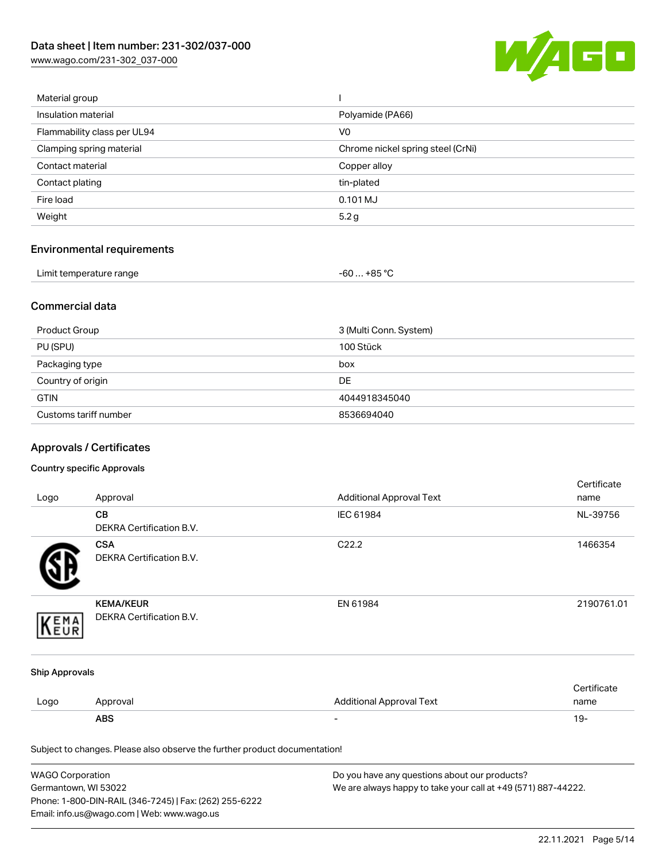[www.wago.com/231-302\\_037-000](http://www.wago.com/231-302_037-000)



| Material group              |                                   |
|-----------------------------|-----------------------------------|
| Insulation material         | Polyamide (PA66)                  |
| Flammability class per UL94 | V <sub>0</sub>                    |
| Clamping spring material    | Chrome nickel spring steel (CrNi) |
| Contact material            | Copper alloy                      |
| Contact plating             | tin-plated                        |
| Fire load                   | 0.101 MJ                          |
| Weight                      | 5.2 g                             |
|                             |                                   |

## Environmental requirements

| Limit temperature range<br>. | … +85 °C.<br>-60 |  |
|------------------------------|------------------|--|
|------------------------------|------------------|--|

#### Commercial data

| Product Group         | 3 (Multi Conn. System) |
|-----------------------|------------------------|
| PU (SPU)              | 100 Stück              |
| Packaging type        | box                    |
| Country of origin     | <b>DE</b>              |
| <b>GTIN</b>           | 4044918345040          |
| Customs tariff number | 8536694040             |

## Approvals / Certificates

#### Country specific Approvals

|                       |                                                                            |                                 | Certificate |
|-----------------------|----------------------------------------------------------------------------|---------------------------------|-------------|
| Logo                  | Approval                                                                   | <b>Additional Approval Text</b> | name        |
|                       | CB                                                                         | IEC 61984                       | NL-39756    |
|                       | DEKRA Certification B.V.                                                   |                                 |             |
|                       | <b>CSA</b>                                                                 | C22.2                           | 1466354     |
|                       | <b>DEKRA Certification B.V.</b>                                            |                                 |             |
|                       | <b>KEMA/KEUR</b>                                                           | EN 61984                        | 2190761.01  |
| EMA                   | DEKRA Certification B.V.                                                   |                                 |             |
| <b>Ship Approvals</b> |                                                                            |                                 |             |
|                       |                                                                            |                                 | Certificate |
| Logo                  | Approval                                                                   | <b>Additional Approval Text</b> | name        |
|                       | <b>ABS</b>                                                                 |                                 | $19 -$      |
|                       | Subject to changes. Please also observe the further product documentation! |                                 |             |

| <b>WAGO Corporation</b>                                | Do you have any questions about our products?                 |
|--------------------------------------------------------|---------------------------------------------------------------|
| Germantown, WI 53022                                   | We are always happy to take your call at +49 (571) 887-44222. |
| Phone: 1-800-DIN-RAIL (346-7245)   Fax: (262) 255-6222 |                                                               |
| Email: info.us@wago.com   Web: www.wago.us             |                                                               |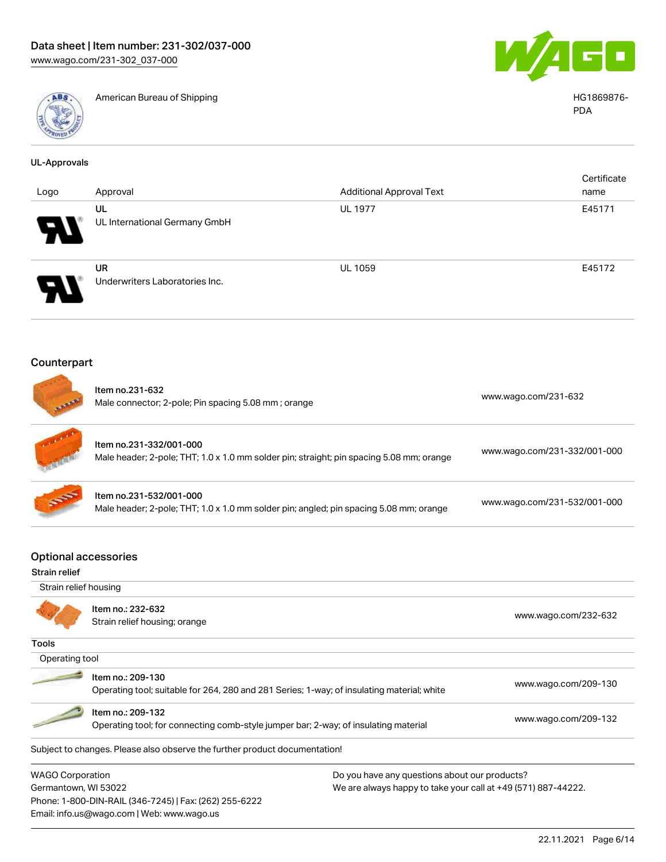

American Bureau of Shipping **American Bureau of Shipping**  $\overline{A}$ 



PDA

| <b>UL-Approvals</b>                                 |                                                                                                          |                                                                                                                |                              |
|-----------------------------------------------------|----------------------------------------------------------------------------------------------------------|----------------------------------------------------------------------------------------------------------------|------------------------------|
| Logo                                                | Approval                                                                                                 | <b>Additional Approval Text</b>                                                                                | Certificate<br>name          |
|                                                     | UL<br>UL International Germany GmbH                                                                      | <b>UL 1977</b>                                                                                                 | E45171                       |
|                                                     | <b>UR</b><br>Underwriters Laboratories Inc.                                                              | <b>UL 1059</b>                                                                                                 | E45172                       |
| Counterpart                                         |                                                                                                          |                                                                                                                |                              |
|                                                     | Item no.231-632<br>Male connector; 2-pole; Pin spacing 5.08 mm; orange                                   |                                                                                                                | www.wago.com/231-632         |
|                                                     | Item no.231-332/001-000                                                                                  | Male header; 2-pole; THT; 1.0 x 1.0 mm solder pin; straight; pin spacing 5.08 mm; orange                       | www.wago.com/231-332/001-000 |
|                                                     | Item no.231-532/001-000                                                                                  | Male header; 2-pole; THT; 1.0 x 1.0 mm solder pin; angled; pin spacing 5.08 mm; orange                         | www.wago.com/231-532/001-000 |
| <b>Optional accessories</b><br><b>Strain relief</b> |                                                                                                          |                                                                                                                |                              |
| Strain relief housing                               |                                                                                                          |                                                                                                                |                              |
|                                                     | Item no.: 232-632<br>Strain relief housing; orange                                                       |                                                                                                                | www.wago.com/232-632         |
| <b>Tools</b>                                        |                                                                                                          |                                                                                                                |                              |
| Operating tool                                      |                                                                                                          |                                                                                                                |                              |
|                                                     | Item no.: 209-130                                                                                        | Operating tool; suitable for 264, 280 and 281 Series; 1-way; of insulating material; white                     | www.wago.com/209-130         |
|                                                     | Item no.: 209-132<br>Operating tool; for connecting comb-style jumper bar; 2-way; of insulating material |                                                                                                                | www.wago.com/209-132         |
|                                                     | Subject to changes. Please also observe the further product documentation!                               |                                                                                                                |                              |
| <b>WAGO Corporation</b><br>Germantown, WI 53022     | Phone: 1-800-DIN-RAIL (346-7245)   Fax: (262) 255-6222<br>Email: info.us@wago.com   Web: www.wago.us     | Do you have any questions about our products?<br>We are always happy to take your call at +49 (571) 887-44222. |                              |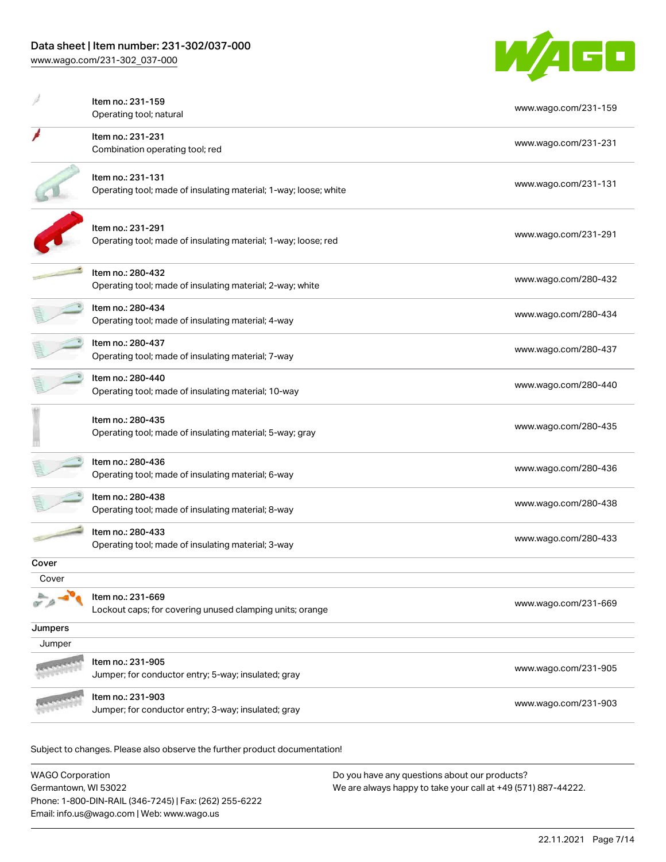

|         | Item no.: 231-159                                                                     | www.wago.com/231-159 |
|---------|---------------------------------------------------------------------------------------|----------------------|
|         | Operating tool; natural                                                               |                      |
|         | Item no.: 231-231<br>Combination operating tool; red                                  | www.wago.com/231-231 |
|         | Item no.: 231-131<br>Operating tool; made of insulating material; 1-way; loose; white | www.wago.com/231-131 |
|         | Item no.: 231-291<br>Operating tool; made of insulating material; 1-way; loose; red   | www.wago.com/231-291 |
|         | Item no.: 280-432<br>Operating tool; made of insulating material; 2-way; white        | www.wago.com/280-432 |
|         | Item no.: 280-434<br>Operating tool; made of insulating material; 4-way               | www.wago.com/280-434 |
|         | Item no.: 280-437<br>Operating tool; made of insulating material; 7-way               | www.wago.com/280-437 |
|         | Item no.: 280-440<br>Operating tool; made of insulating material; 10-way              | www.wago.com/280-440 |
|         | Item no.: 280-435<br>Operating tool; made of insulating material; 5-way; gray         | www.wago.com/280-435 |
|         | Item no.: 280-436<br>Operating tool; made of insulating material; 6-way               | www.wago.com/280-436 |
|         | Item no.: 280-438<br>Operating tool; made of insulating material; 8-way               | www.wago.com/280-438 |
|         | Item no.: 280-433<br>Operating tool; made of insulating material; 3-way               | www.wago.com/280-433 |
| Cover   |                                                                                       |                      |
| Cover   |                                                                                       |                      |
|         | Item no.: 231-669<br>Lockout caps; for covering unused clamping units; orange         | www.wago.com/231-669 |
| Jumpers |                                                                                       |                      |
| Jumper  |                                                                                       |                      |
|         | Item no.: 231-905<br>Jumper; for conductor entry; 5-way; insulated; gray              | www.wago.com/231-905 |
|         | Item no.: 231-903<br>Jumper; for conductor entry; 3-way; insulated; gray              | www.wago.com/231-903 |
|         |                                                                                       |                      |

Subject to changes. Please also observe the further product documentation!

| <b>WAGO Corporation</b>                                | Do you have any questions about our products?                 |
|--------------------------------------------------------|---------------------------------------------------------------|
| Germantown, WI 53022                                   | We are always happy to take your call at +49 (571) 887-44222. |
| Phone: 1-800-DIN-RAIL (346-7245)   Fax: (262) 255-6222 |                                                               |
| Email: info.us@wago.com   Web: www.wago.us             |                                                               |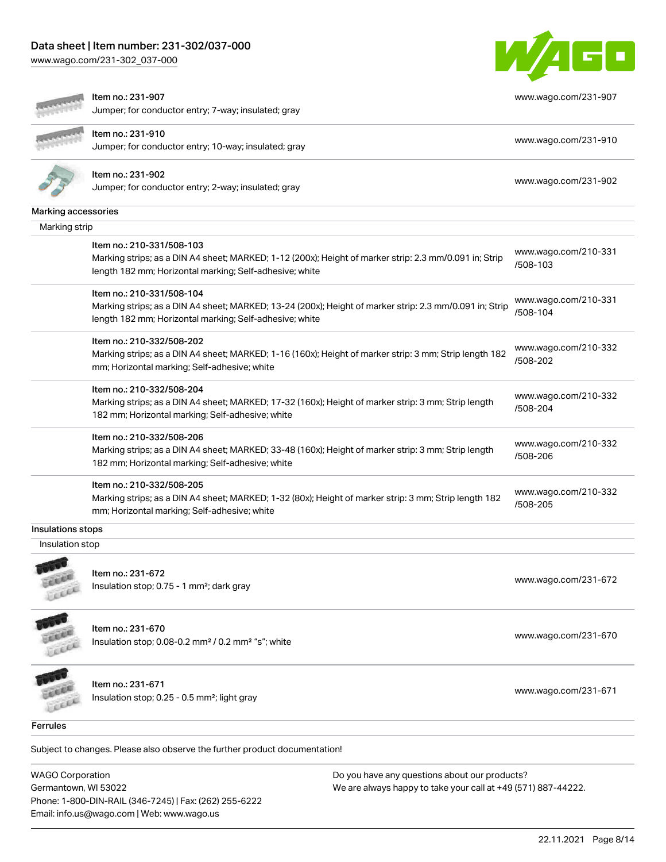#### Data sheet | Item number: 231-302/037-000

[www.wago.com/231-302\\_037-000](http://www.wago.com/231-302_037-000)



[www.wago.com/231-907](http://www.wago.com/231-907)

## Item no.: 231-907

Jumper; for conductor entry; 7-way; insulated; gray



Item no.: 231-910

Item no.: 231-902 Jumper; for conductor entry; 2-way; insulated; gray [www.wago.com/231-902](http://www.wago.com/231-902)

Marking accessories

| Marking strip                                                                                                                                                                                   |                                  |
|-------------------------------------------------------------------------------------------------------------------------------------------------------------------------------------------------|----------------------------------|
| Item no.: 210-331/508-103<br>Marking strips; as a DIN A4 sheet; MARKED; 1-12 (200x); Height of marker strip: 2.3 mm/0.091 in; Strip<br>length 182 mm; Horizontal marking; Self-adhesive; white  | www.wago.com/210-331<br>/508-103 |
| Item no.: 210-331/508-104<br>Marking strips; as a DIN A4 sheet; MARKED; 13-24 (200x); Height of marker strip: 2.3 mm/0.091 in; Strip<br>length 182 mm; Horizontal marking; Self-adhesive; white | www.wago.com/210-331<br>/508-104 |
| Item no.: 210-332/508-202<br>Marking strips; as a DIN A4 sheet; MARKED; 1-16 (160x); Height of marker strip: 3 mm; Strip length 182<br>mm; Horizontal marking; Self-adhesive; white             | www.wago.com/210-332<br>/508-202 |
| Item no.: 210-332/508-204<br>Marking strips; as a DIN A4 sheet; MARKED; 17-32 (160x); Height of marker strip: 3 mm; Strip length<br>182 mm; Horizontal marking; Self-adhesive; white            | www.wago.com/210-332<br>/508-204 |
| Item no.: 210-332/508-206<br>Marking strips; as a DIN A4 sheet; MARKED; 33-48 (160x); Height of marker strip: 3 mm; Strip length<br>182 mm; Horizontal marking; Self-adhesive; white            | www.wago.com/210-332<br>/508-206 |
| Item no.: 210-332/508-205<br>Marking strips; as a DIN A4 sheet; MARKED; 1-32 (80x); Height of marker strip: 3 mm; Strip length 182<br>mm; Horizontal marking; Self-adhesive; white              | www.wago.com/210-332<br>/508-205 |
| Insulations stops                                                                                                                                                                               |                                  |
| Insulation stop                                                                                                                                                                                 |                                  |
| Item no.: 231-672<br>Insulation stop; $0.75 - 1$ mm <sup>2</sup> ; dark gray<br>Leece                                                                                                           | www.wago.com/231-672             |
| Item no.: 231-670<br>Insulation stop; $0.08$ -0.2 mm <sup>2</sup> / $0.2$ mm <sup>2</sup> "s"; white<br>LEEEE                                                                                   | www.wago.com/231-670             |
| Item no.: 231-671<br>Insulation stop; 0.25 - 0.5 mm <sup>2</sup> ; light gray<br>Lecci                                                                                                          | www.wago.com/231-671             |
| <b>Ferrules</b>                                                                                                                                                                                 |                                  |

Jumper; for conductor entry; 10-way; insulated; gray [www.wago.com/231-910](http://www.wago.com/231-910)

Subject to changes. Please also observe the further product documentation!

WAGO Corporation Germantown, WI 53022 Phone: 1-800-DIN-RAIL (346-7245) | Fax: (262) 255-6222 Email: info.us@wago.com | Web: www.wago.us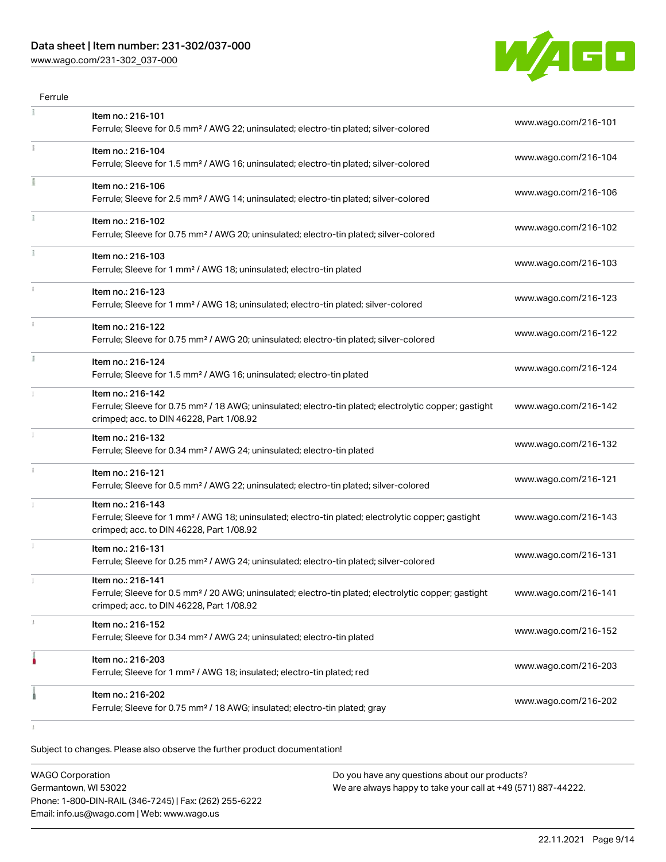## Data sheet | Item number: 231-302/037-000

[www.wago.com/231-302\\_037-000](http://www.wago.com/231-302_037-000)



| Item no.: 216-101                                                                                                                                                                  |                      |
|------------------------------------------------------------------------------------------------------------------------------------------------------------------------------------|----------------------|
| Ferrule; Sleeve for 0.5 mm <sup>2</sup> / AWG 22; uninsulated; electro-tin plated; silver-colored                                                                                  | www.wago.com/216-101 |
| Item no.: 216-104<br>Ferrule; Sleeve for 1.5 mm <sup>2</sup> / AWG 16; uninsulated; electro-tin plated; silver-colored                                                             | www.wago.com/216-104 |
| Item no.: 216-106<br>Ferrule; Sleeve for 2.5 mm <sup>2</sup> / AWG 14; uninsulated; electro-tin plated; silver-colored                                                             | www.wago.com/216-106 |
| Item no.: 216-102<br>Ferrule; Sleeve for 0.75 mm <sup>2</sup> / AWG 20; uninsulated; electro-tin plated; silver-colored                                                            | www.wago.com/216-102 |
| Item no.: 216-103<br>Ferrule; Sleeve for 1 mm <sup>2</sup> / AWG 18; uninsulated; electro-tin plated                                                                               | www.wago.com/216-103 |
| Item no.: 216-123<br>Ferrule; Sleeve for 1 mm <sup>2</sup> / AWG 18; uninsulated; electro-tin plated; silver-colored                                                               | www.wago.com/216-123 |
| Item no.: 216-122<br>Ferrule; Sleeve for 0.75 mm <sup>2</sup> / AWG 20; uninsulated; electro-tin plated; silver-colored                                                            | www.wago.com/216-122 |
| Item no.: 216-124<br>Ferrule; Sleeve for 1.5 mm <sup>2</sup> / AWG 16; uninsulated; electro-tin plated                                                                             | www.wago.com/216-124 |
| Item no.: 216-142<br>Ferrule; Sleeve for 0.75 mm <sup>2</sup> / 18 AWG; uninsulated; electro-tin plated; electrolytic copper; gastight<br>crimped; acc. to DIN 46228, Part 1/08.92 | www.wago.com/216-142 |
| Item no.: 216-132<br>Ferrule; Sleeve for 0.34 mm <sup>2</sup> / AWG 24; uninsulated; electro-tin plated                                                                            | www.wago.com/216-132 |
| Item no.: 216-121<br>Ferrule; Sleeve for 0.5 mm <sup>2</sup> / AWG 22; uninsulated; electro-tin plated; silver-colored                                                             | www.wago.com/216-121 |
| Item no.: 216-143<br>Ferrule; Sleeve for 1 mm <sup>2</sup> / AWG 18; uninsulated; electro-tin plated; electrolytic copper; gastight<br>crimped; acc. to DIN 46228, Part 1/08.92    | www.wago.com/216-143 |
| Item no.: 216-131<br>Ferrule; Sleeve for 0.25 mm <sup>2</sup> / AWG 24; uninsulated; electro-tin plated; silver-colored                                                            | www.wago.com/216-131 |
| Item no.: 216-141<br>Ferrule; Sleeve for 0.5 mm <sup>2</sup> / 20 AWG; uninsulated; electro-tin plated; electrolytic copper; gastight<br>crimped; acc. to DIN 46228, Part 1/08.92  | www.wago.com/216-141 |
| Item no.: 216-152<br>Ferrule; Sleeve for 0.34 mm <sup>2</sup> / AWG 24; uninsulated; electro-tin plated                                                                            | www.wago.com/216-152 |
| Item no.: 216-203<br>Ferrule; Sleeve for 1 mm <sup>2</sup> / AWG 18; insulated; electro-tin plated; red                                                                            | www.wago.com/216-203 |
| Item no.: 216-202                                                                                                                                                                  | www.wago.com/216-202 |
|                                                                                                                                                                                    |                      |

Subject to changes. Please also observe the further product documentation!

| <b>WAGO Corporation</b>                                | Do you have any questions about our products?                 |
|--------------------------------------------------------|---------------------------------------------------------------|
| Germantown, WI 53022                                   | We are always happy to take your call at +49 (571) 887-44222. |
| Phone: 1-800-DIN-RAIL (346-7245)   Fax: (262) 255-6222 |                                                               |
| Email: info.us@wago.com   Web: www.wago.us             |                                                               |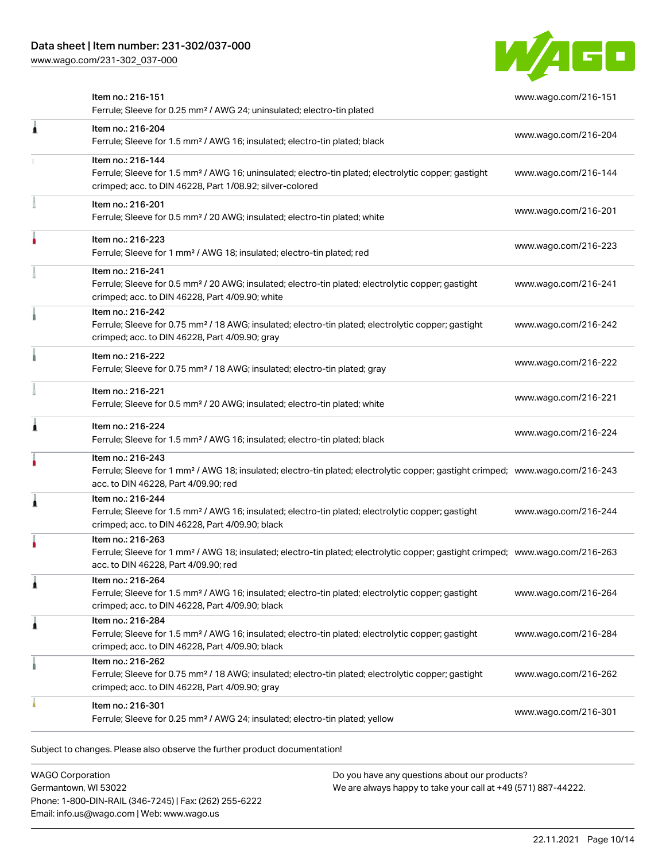[www.wago.com/231-302\\_037-000](http://www.wago.com/231-302_037-000)



|   | Item no.: 216-151<br>Ferrule; Sleeve for 0.25 mm <sup>2</sup> / AWG 24; uninsulated; electro-tin plated                                                                                                 | www.wago.com/216-151 |
|---|---------------------------------------------------------------------------------------------------------------------------------------------------------------------------------------------------------|----------------------|
| Â | Item no.: 216-204<br>Ferrule; Sleeve for 1.5 mm <sup>2</sup> / AWG 16; insulated; electro-tin plated; black                                                                                             | www.wago.com/216-204 |
|   | Item no.: 216-144<br>Ferrule; Sleeve for 1.5 mm <sup>2</sup> / AWG 16; uninsulated; electro-tin plated; electrolytic copper; gastight<br>crimped; acc. to DIN 46228, Part 1/08.92; silver-colored       | www.wago.com/216-144 |
|   | Item no.: 216-201<br>Ferrule; Sleeve for 0.5 mm <sup>2</sup> / 20 AWG; insulated; electro-tin plated; white                                                                                             | www.wago.com/216-201 |
|   | Item no.: 216-223<br>Ferrule; Sleeve for 1 mm <sup>2</sup> / AWG 18; insulated; electro-tin plated; red                                                                                                 | www.wago.com/216-223 |
|   | Item no.: 216-241<br>Ferrule; Sleeve for 0.5 mm <sup>2</sup> / 20 AWG; insulated; electro-tin plated; electrolytic copper; gastight<br>crimped; acc. to DIN 46228, Part 4/09.90; white                  | www.wago.com/216-241 |
|   | Item no.: 216-242<br>Ferrule; Sleeve for 0.75 mm <sup>2</sup> / 18 AWG; insulated; electro-tin plated; electrolytic copper; gastight<br>crimped; acc. to DIN 46228, Part 4/09.90; gray                  | www.wago.com/216-242 |
|   | Item no.: 216-222<br>Ferrule; Sleeve for 0.75 mm <sup>2</sup> / 18 AWG; insulated; electro-tin plated; gray                                                                                             | www.wago.com/216-222 |
|   | Item no.: 216-221<br>Ferrule; Sleeve for 0.5 mm <sup>2</sup> / 20 AWG; insulated; electro-tin plated; white                                                                                             | www.wago.com/216-221 |
| ٨ | Item no.: 216-224<br>Ferrule; Sleeve for 1.5 mm <sup>2</sup> / AWG 16; insulated; electro-tin plated; black                                                                                             | www.wago.com/216-224 |
|   | Item no.: 216-243<br>Ferrule; Sleeve for 1 mm <sup>2</sup> / AWG 18; insulated; electro-tin plated; electrolytic copper; gastight crimped; www.wago.com/216-243<br>acc. to DIN 46228, Part 4/09.90; red |                      |
| Â | Item no.: 216-244<br>Ferrule; Sleeve for 1.5 mm <sup>2</sup> / AWG 16; insulated; electro-tin plated; electrolytic copper; gastight<br>crimped; acc. to DIN 46228, Part 4/09.90; black                  | www.wago.com/216-244 |
|   | Item no.: 216-263<br>Ferrule; Sleeve for 1 mm <sup>2</sup> / AWG 18; insulated; electro-tin plated; electrolytic copper; gastight crimped; www.wago.com/216-263<br>acc. to DIN 46228, Part 4/09.90; red |                      |
| 1 | Item no.: 216-264<br>Ferrule; Sleeve for 1.5 mm <sup>2</sup> / AWG 16; insulated; electro-tin plated; electrolytic copper; gastight<br>crimped; acc. to DIN 46228, Part 4/09.90; black                  | www.wago.com/216-264 |
| 1 | Item no.: 216-284<br>Ferrule; Sleeve for 1.5 mm <sup>2</sup> / AWG 16; insulated; electro-tin plated; electrolytic copper; gastight<br>crimped; acc. to DIN 46228, Part 4/09.90; black                  | www.wago.com/216-284 |
|   | Item no.: 216-262<br>Ferrule; Sleeve for 0.75 mm <sup>2</sup> / 18 AWG; insulated; electro-tin plated; electrolytic copper; gastight<br>crimped; acc. to DIN 46228, Part 4/09.90; gray                  | www.wago.com/216-262 |
|   | Item no.: 216-301<br>Ferrule; Sleeve for 0.25 mm <sup>2</sup> / AWG 24; insulated; electro-tin plated; yellow                                                                                           | www.wago.com/216-301 |
|   |                                                                                                                                                                                                         |                      |

Subject to changes. Please also observe the further product documentation!

WAGO Corporation Germantown, WI 53022 Phone: 1-800-DIN-RAIL (346-7245) | Fax: (262) 255-6222 Email: info.us@wago.com | Web: www.wago.us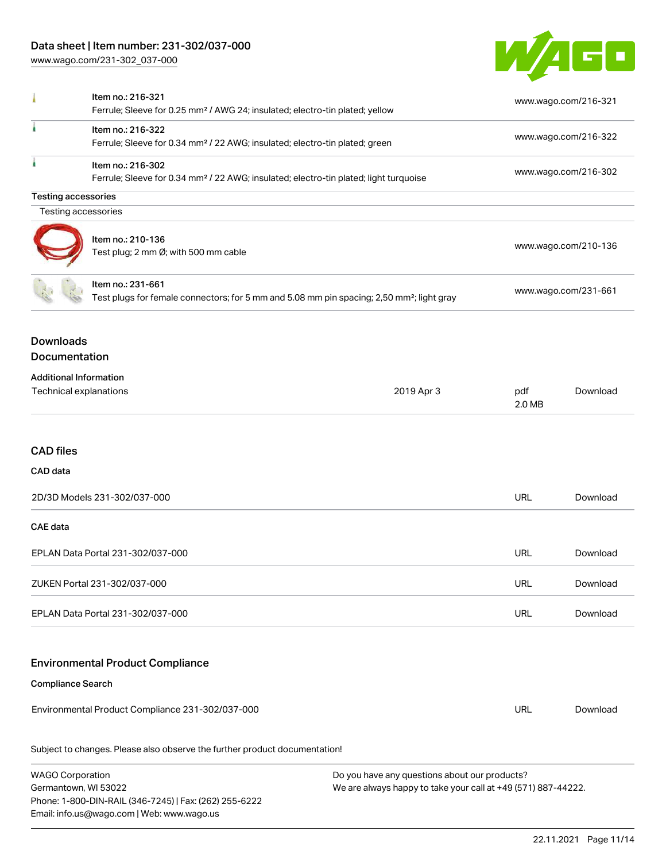## Data sheet | Item number: 231-302/037-000

[www.wago.com/231-302\\_037-000](http://www.wago.com/231-302_037-000)

Email: info.us@wago.com | Web: www.wago.us



| 1                                                       | Item no.: 216-321<br>Ferrule; Sleeve for 0.25 mm <sup>2</sup> / AWG 24; insulated; electro-tin plated; yellow              |                                                                                                                | www.wago.com/216-321 |                      |  |
|---------------------------------------------------------|----------------------------------------------------------------------------------------------------------------------------|----------------------------------------------------------------------------------------------------------------|----------------------|----------------------|--|
| ı                                                       | Item no.: 216-322<br>Ferrule; Sleeve for 0.34 mm <sup>2</sup> / 22 AWG; insulated; electro-tin plated; green               |                                                                                                                | www.wago.com/216-322 |                      |  |
| ı                                                       | Item no.: 216-302<br>Ferrule; Sleeve for 0.34 mm <sup>2</sup> / 22 AWG; insulated; electro-tin plated; light turquoise     |                                                                                                                | www.wago.com/216-302 |                      |  |
| <b>Testing accessories</b>                              |                                                                                                                            |                                                                                                                |                      |                      |  |
| Testing accessories                                     |                                                                                                                            |                                                                                                                |                      |                      |  |
|                                                         | Item no.: 210-136<br>Test plug; 2 mm Ø; with 500 mm cable                                                                  |                                                                                                                | www.wago.com/210-136 |                      |  |
|                                                         | Item no.: 231-661<br>Test plugs for female connectors; for 5 mm and 5.08 mm pin spacing; 2,50 mm <sup>2</sup> ; light gray |                                                                                                                |                      | www.wago.com/231-661 |  |
| <b>Downloads</b><br>Documentation                       |                                                                                                                            |                                                                                                                |                      |                      |  |
| <b>Additional Information</b><br>Technical explanations |                                                                                                                            | 2019 Apr 3                                                                                                     | pdf<br>2.0 MB        | Download             |  |
| <b>CAD files</b>                                        |                                                                                                                            |                                                                                                                |                      |                      |  |
| CAD data                                                |                                                                                                                            |                                                                                                                |                      |                      |  |
| 2D/3D Models 231-302/037-000                            |                                                                                                                            |                                                                                                                | <b>URL</b>           | Download             |  |
| <b>CAE</b> data                                         |                                                                                                                            |                                                                                                                |                      |                      |  |
| EPLAN Data Portal 231-302/037-000                       |                                                                                                                            |                                                                                                                | <b>URL</b>           | Download             |  |
| ZUKEN Portal 231-302/037-000                            |                                                                                                                            |                                                                                                                | URL                  | Download             |  |
| EPLAN Data Portal 231-302/037-000                       |                                                                                                                            |                                                                                                                | <b>URL</b>           | Download             |  |
|                                                         | <b>Environmental Product Compliance</b>                                                                                    |                                                                                                                |                      |                      |  |
| <b>Compliance Search</b>                                |                                                                                                                            |                                                                                                                |                      |                      |  |
|                                                         | Environmental Product Compliance 231-302/037-000                                                                           |                                                                                                                | <b>URL</b>           | Download             |  |
|                                                         | Subject to changes. Please also observe the further product documentation!                                                 |                                                                                                                |                      |                      |  |
| <b>WAGO Corporation</b><br>Germantown, WI 53022         | Phone: 1-800-DIN-RAIL (346-7245)   Fax: (262) 255-6222                                                                     | Do you have any questions about our products?<br>We are always happy to take your call at +49 (571) 887-44222. |                      |                      |  |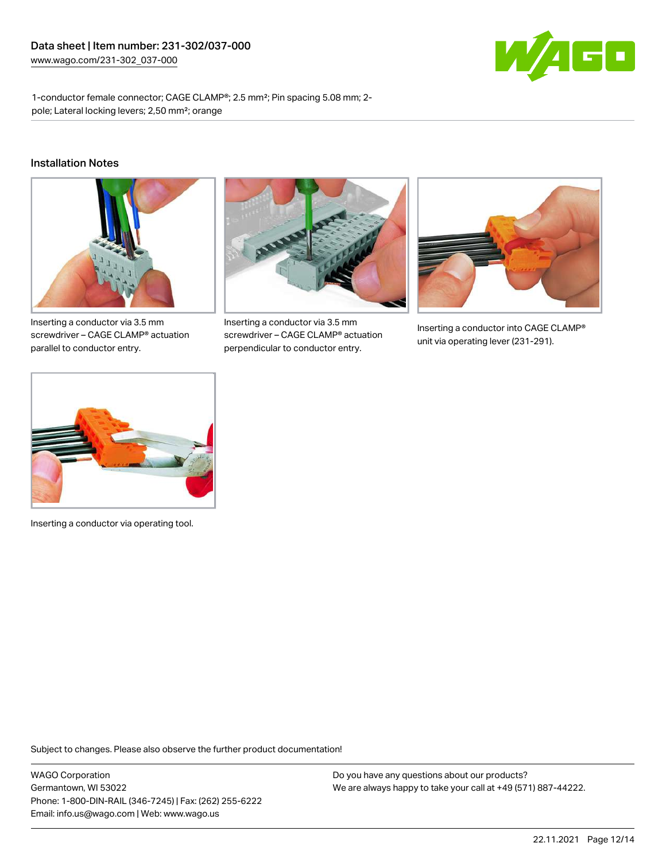

1-conductor female connector; CAGE CLAMP®; 2.5 mm²; Pin spacing 5.08 mm; 2 pole; Lateral locking levers; 2,50 mm²; orange

#### Installation Notes



Inserting a conductor via 3.5 mm screwdriver – CAGE CLAMP® actuation parallel to conductor entry.



Inserting a conductor via 3.5 mm screwdriver – CAGE CLAMP® actuation perpendicular to conductor entry.



Inserting a conductor into CAGE CLAMP® unit via operating lever (231-291).



Inserting a conductor via operating tool.

Subject to changes. Please also observe the further product documentation!

WAGO Corporation Germantown, WI 53022 Phone: 1-800-DIN-RAIL (346-7245) | Fax: (262) 255-6222 Email: info.us@wago.com | Web: www.wago.us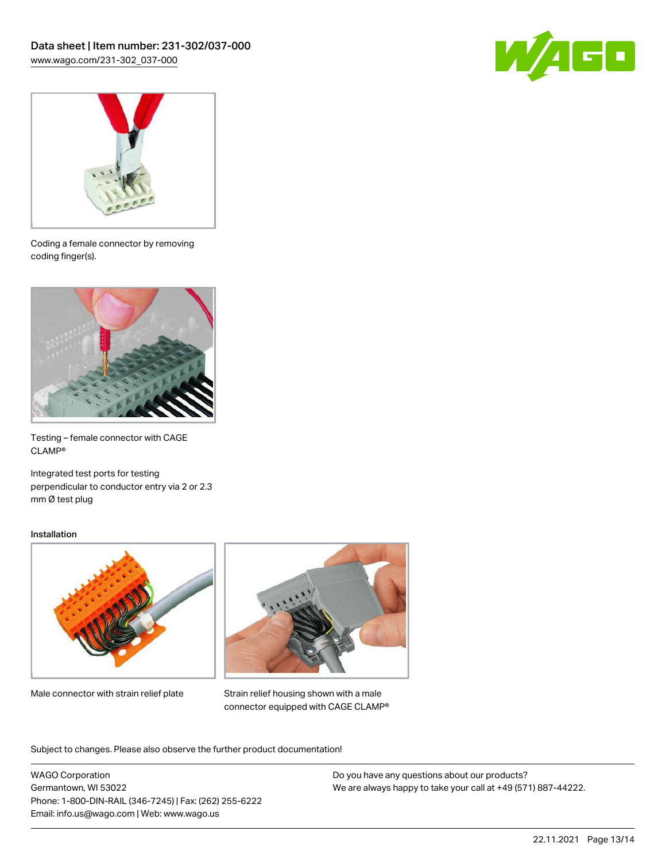



Coding a female connector by removing coding finger(s).



Testing – female connector with CAGE CLAMP®

Integrated test ports for testing perpendicular to conductor entry via 2 or 2.3 mm Ø test plug

#### Installation



Male connector with strain relief plate



Strain relief housing shown with a male connector equipped with CAGE CLAMP®

Subject to changes. Please also observe the further product documentation!

WAGO Corporation Germantown, WI 53022 Phone: 1-800-DIN-RAIL (346-7245) | Fax: (262) 255-6222 Email: info.us@wago.com | Web: www.wago.us